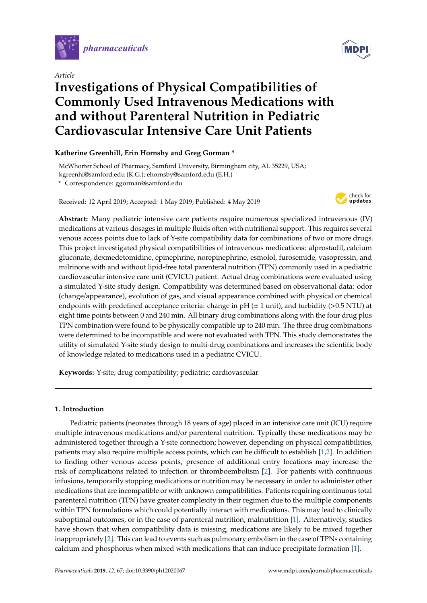

*Article*

# **Investigations of Physical Compatibilities of Commonly Used Intravenous Medications with and without Parenteral Nutrition in Pediatric Cardiovascular Intensive Care Unit Patients**

# **Katherine Greenhill, Erin Hornsby and Greg Gorman \***

McWhorter School of Pharmacy, Samford University, Birmingham city, AL 35229, USA; kgreenhi@samford.edu (K.G.); ehornsby@samford.edu (E.H.)

**\*** Correspondence: ggorman@samford.edu

Received: 12 April 2019; Accepted: 1 May 2019; Published: 4 May 2019



**Abstract:** Many pediatric intensive care patients require numerous specialized intravenous (IV) medications at various dosages in multiple fluids often with nutritional support. This requires several venous access points due to lack of Y-site compatibility data for combinations of two or more drugs. This project investigated physical compatibilities of intravenous medications: alprostadil, calcium gluconate, dexmedetomidine, epinephrine, norepinephrine, esmolol, furosemide, vasopressin, and milrinone with and without lipid-free total parenteral nutrition (TPN) commonly used in a pediatric cardiovascular intensive care unit (CVICU) patient. Actual drug combinations were evaluated using a simulated Y-site study design. Compatibility was determined based on observational data: odor (change/appearance), evolution of gas, and visual appearance combined with physical or chemical endpoints with predefined acceptance criteria: change in  $pH$  ( $\pm$  1 unit), and turbidity (>0.5 NTU) at eight time points between 0 and 240 min. All binary drug combinations along with the four drug plus TPN combination were found to be physically compatible up to 240 min. The three drug combinations were determined to be incompatible and were not evaluated with TPN. This study demonstrates the utility of simulated Y-site study design to multi-drug combinations and increases the scientific body of knowledge related to medications used in a pediatric CVICU.

**Keywords:** Y-site; drug compatibility; pediatric; cardiovascular

# **1. Introduction**

Pediatric patients (neonates through 18 years of age) placed in an intensive care unit (ICU) require multiple intravenous medications and/or parenteral nutrition. Typically these medications may be administered together through a Y-site connection; however, depending on physical compatibilities, patients may also require multiple access points, which can be difficult to establish [\[1](#page-7-0)[,2\]](#page-7-1). In addition to finding other venous access points, presence of additional entry locations may increase the risk of complications related to infection or thromboembolism [\[2\]](#page-7-1). For patients with continuous infusions, temporarily stopping medications or nutrition may be necessary in order to administer other medications that are incompatible or with unknown compatibilities. Patients requiring continuous total parenteral nutrition (TPN) have greater complexity in their regimen due to the multiple components within TPN formulations which could potentially interact with medications. This may lead to clinically suboptimal outcomes, or in the case of parenteral nutrition, malnutrition [\[1\]](#page-7-0). Alternatively, studies have shown that when compatibility data is missing, medications are likely to be mixed together inappropriately [\[2\]](#page-7-1). This can lead to events such as pulmonary embolism in the case of TPNs containing calcium and phosphorus when mixed with medications that can induce precipitate formation [\[1\]](#page-7-0).

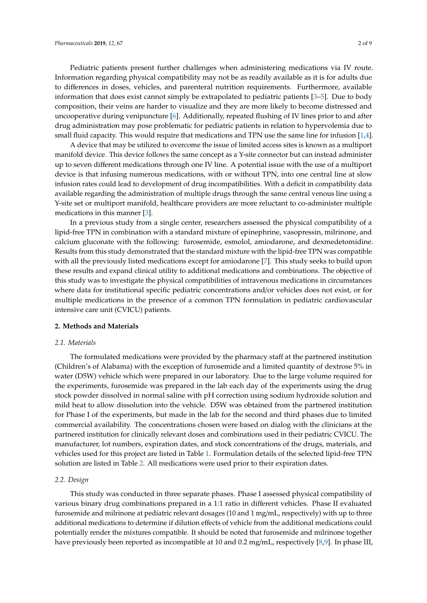Pediatric patients present further challenges when administering medications via IV route. Information regarding physical compatibility may not be as readily available as it is for adults due to differences in doses, vehicles, and parenteral nutrition requirements. Furthermore, available information that does exist cannot simply be extrapolated to pediatric patients [\[3](#page-8-0)[–5\]](#page-8-1). Due to body composition, their veins are harder to visualize and they are more likely to become distressed and uncooperative during venipuncture [\[6\]](#page-8-2). Additionally, repeated flushing of IV lines prior to and after drug administration may pose problematic for pediatric patients in relation to hypervolemia due to small fluid capacity. This would require that medications and TPN use the same line for infusion [\[1](#page-7-0)[,4\]](#page-8-3).

A device that may be utilized to overcome the issue of limited access sites is known as a multiport manifold device. This device follows the same concept as a Y-site connector but can instead administer up to seven different medications through one IV line. A potential issue with the use of a multiport device is that infusing numerous medications, with or without TPN, into one central line at slow infusion rates could lead to development of drug incompatibilities. With a deficit in compatibility data available regarding the administration of multiple drugs through the same central venous line using a Y-site set or multiport manifold, healthcare providers are more reluctant to co-administer multiple medications in this manner [\[3\]](#page-8-0).

In a previous study from a single center, researchers assessed the physical compatibility of a lipid-free TPN in combination with a standard mixture of epinephrine, vasopressin, milrinone, and calcium gluconate with the following: furosemide, esmolol, amiodarone, and dexmedetomidine. Results from this study demonstrated that the standard mixture with the lipid-free TPN was compatible with all the previously listed medications except for amiodarone [\[7\]](#page-8-4). This study seeks to build upon these results and expand clinical utility to additional medications and combinations. The objective of this study was to investigate the physical compatibilities of intravenous medications in circumstances where data for institutional specific pediatric concentrations and/or vehicles does not exist, or for multiple medications in the presence of a common TPN formulation in pediatric cardiovascular intensive care unit (CVICU) patients.

## **2. Methods and Materials**

#### *2.1. Materials*

The formulated medications were provided by the pharmacy staff at the partnered institution (Children's of Alabama) with the exception of furosemide and a limited quantity of dextrose 5% in water (D5W) vehicle which were prepared in our laboratory. Due to the large volume required for the experiments, furosemide was prepared in the lab each day of the experiments using the drug stock powder dissolved in normal saline with pH correction using sodium hydroxide solution and mild heat to allow dissolution into the vehicle. D5W was obtained from the partnered institution for Phase I of the experiments, but made in the lab for the second and third phases due to limited commercial availability. The concentrations chosen were based on dialog with the clinicians at the partnered institution for clinically relevant doses and combinations used in their pediatric CVICU. The manufacturer, lot numbers, expiration dates, and stock concentrations of the drugs, materials, and vehicles used for this project are listed in Table [1.](#page-2-0) Formulation details of the selected lipid-free TPN solution are listed in Table [2.](#page-2-1) All medications were used prior to their expiration dates.

#### *2.2. Design*

This study was conducted in three separate phases. Phase I assessed physical compatibility of various binary drug combinations prepared in a 1:1 ratio in different vehicles. Phase II evaluated furosemide and milrinone at pediatric relevant dosages (10 and 1 mg/mL, respectively) with up to three additional medications to determine if dilution effects of vehicle from the additional medications could potentially render the mixtures compatible. It should be noted that furosemide and milrinone together have previously been reported as incompatible at 10 and 0.2 mg/mL, respectively [\[8](#page-8-5)[,9\]](#page-8-6). In phase III,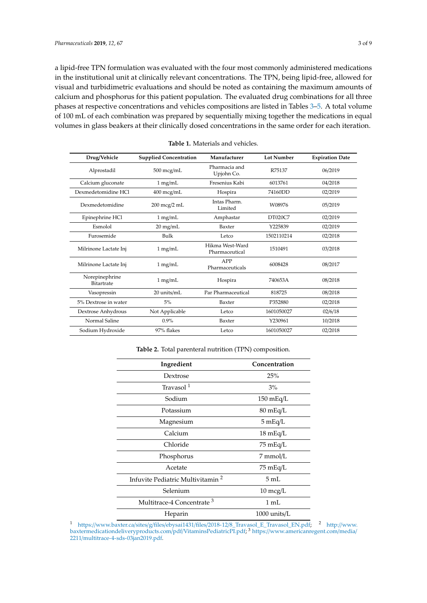a lipid-free TPN formulation was evaluated with the four most commonly administered medications in the institutional unit at clinically relevant concentrations. The TPN, being lipid-free, allowed for visual and turbidimetric evaluations and should be noted as containing the maximum amounts of calcium and phosphorus for this patient population. The evaluated drug combinations for all three phases at respective concentrations and vehicles compositions are listed in Tables [3](#page-3-0)[–5.](#page-3-1) A total volume of 100 mL of each combination was prepared by sequentially mixing together the medications in equal volumes in glass beakers at their clinically dosed concentrations in the same order for each iteration.

<span id="page-2-0"></span>

| Drug/Vehicle                 | <b>Supplied Concentration</b> | Manufacturer                      | <b>Lot Number</b> | <b>Expiration Date</b> |
|------------------------------|-------------------------------|-----------------------------------|-------------------|------------------------|
| Alprostadil                  | 500 mcg/mL                    | Pharmacia and<br>Upjohn Co.       | R75137            | 06/2019                |
| Calcium gluconate            | 1 mg/mL                       | Fresenius Kabi                    | 6013761           | 04/2018                |
| Dexmedetomidine HCl          | 400 mcg/mL                    | Hospira                           | 74160DD           | 02/2019                |
| Dexmedetomidine              | 200 mcg/2 mL                  | Intas Pharm.<br>Limited           | W08976            | 05/2019                |
| Epinephrine HCl              | $1 \text{ mg/mL}$             | Amphastar                         | DT020C7           | 02/2019                |
| Esmolol                      | $20$ mg/mL                    | Baxter                            | Y225839           | 02/2019                |
| Furosemide                   | Bulk                          | Letco                             | 1502110214        | 02/2018                |
| Milrinone Lactate Inj        | 1 mg/mL                       | Hikma West-Ward<br>Pharmaceutical | 1510491           | 03/2018                |
| Milrinone Lactate Inj        | 1 mg/mL                       | APP<br>Pharmaceuticals            | 6008428           | 08/2017                |
| Norepinephrine<br>Bitartrate | 1 mg/mL                       | Hospira                           | 740653A           | 08/2018                |
| Vasopressin                  | 20 units/mL                   | Par Pharmaceutical                | 818725            | 08/2018                |
| 5% Dextrose in water         | 5%                            | Baxter                            | P352880           | 02/2018                |
| Dextrose Anhydrous           | Not Applicable                | Letco                             | 1601050027        | 02/6/18                |
| Normal Saline                | $0.9\%$                       | Baxter                            | Y230961           | 10/2018                |
| Sodium Hydroxide             | 97% flakes                    | Letco                             | 1601050027        | 02/2018                |

**Table 1.** Materials and vehicles.

|  |  |  |  | Table 2. Total parenteral nutrition (TPN) composition. |
|--|--|--|--|--------------------------------------------------------|
|--|--|--|--|--------------------------------------------------------|

<span id="page-2-1"></span>

| Ingredient                                   | Concentration       |
|----------------------------------------------|---------------------|
| Dextrose                                     | 25%                 |
| Travasol $1$                                 | 3%                  |
| Sodium                                       | $150 \text{ mEq/L}$ |
| Potassium                                    | $80 \text{ mEq/L}$  |
| Magnesium                                    | $5 \text{ mEq/L}$   |
| Calcium                                      | 18 mEq/L            |
| Chloride                                     | 75 mEq/L            |
| Phosphorus                                   | 7 mmol/L            |
| Acetate                                      | 75 mEq/L            |
| Infuvite Pediatric Multivitamin <sup>2</sup> | $5 \text{ mL}$      |
| Selenium                                     | 10 mcg/L            |
| Multitrace-4 Concentrate <sup>3</sup>        | $1 \text{ mL}$      |
| Heparin                                      | $1000$ units/L      |

<sup>1</sup> https://www.baxter.ca/sites/g/files/ebysai1431/files/2018-12/[8\\_Travasol\\_E\\_Travasol\\_EN.pdf;](https://www.baxter.ca/sites/g/files/ebysai1431/files/2018-12/8_Travasol_E_Travasol_EN.pdf) <sup>2</sup> http://[www.](http://www.baxtermedicationdeliveryproducts.com/pdf/VitaminsPediatricPI.pdf) [baxtermedicationdeliveryproducts.com](http://www.baxtermedicationdeliveryproducts.com/pdf/VitaminsPediatricPI.pdf)/pdf/VitaminsPediatricPI.pdf; <sup>3</sup> https://[www.americanregent.com](https://www.americanregent.com/media/2211/multitrace-4-sds-03jan2019.pdf)/media/ 2211/[multitrace-4-sds-03jan2019.pdf.](https://www.americanregent.com/media/2211/multitrace-4-sds-03jan2019.pdf)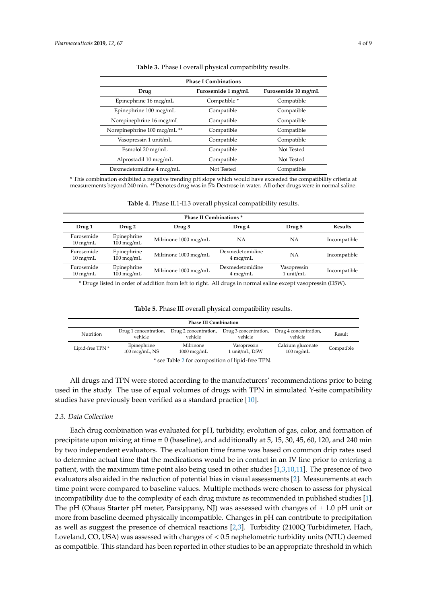<span id="page-3-0"></span>

| <b>Phase I Combinations</b>                       |                         |            |  |  |  |  |
|---------------------------------------------------|-------------------------|------------|--|--|--|--|
| Furosemide 1 mg/mL<br>Furosemide 10 mg/mL<br>Drug |                         |            |  |  |  |  |
| Epinephrine 16 mcg/mL                             | Compatible <sup>*</sup> | Compatible |  |  |  |  |
| Epinephrine 100 mcg/mL                            | Compatible              | Compatible |  |  |  |  |
| Norepinephrine 16 mcg/mL                          | Compatible              | Compatible |  |  |  |  |
| Norepinephrine 100 mcg/mL **                      | Compatible              | Compatible |  |  |  |  |
| Vasopressin 1 unit/mL                             | Compatible              | Compatible |  |  |  |  |
| Esmolol 20 mg/mL                                  | Compatible              | Not Tested |  |  |  |  |
| Alprostadil 10 mcg/mL                             | Compatible              | Not Tested |  |  |  |  |
| Dexmedetomidine 4 mcg/mL                          | Not Tested              | Compatible |  |  |  |  |

| Table 3. Phase I overall physical compatibility results. |  |  |  |
|----------------------------------------------------------|--|--|--|
|----------------------------------------------------------|--|--|--|

\* This combination exhibited a negative trending pH slope which would have exceeded the compatibility criteria at measurements beyond 240 min. \*\* Denotes drug was in 5% Dextrose in water. All other drugs were in normal saline.

| <b>Table 4.</b> Phase II.1-II.3 overall physical compatibility results. |  |  |
|-------------------------------------------------------------------------|--|--|
|-------------------------------------------------------------------------|--|--|

<span id="page-3-2"></span>

| <b>Phase II Combinations *</b>   |                                     |                       |                                       |                          |                |  |
|----------------------------------|-------------------------------------|-----------------------|---------------------------------------|--------------------------|----------------|--|
| Drug 1                           | Drug 2                              | Drug 3                | Drug 4                                | Drug 5                   | <b>Results</b> |  |
| Furosemide<br>$10 \text{ mg/mL}$ | Epinephrine<br>$100 \text{~mcg/mL}$ | Milrinone 1000 mcg/mL | NА                                    | NΑ                       | Incompatible   |  |
| Furosemide<br>$10 \text{ mg/mL}$ | Epinephrine<br>$100 \text{~mcg/mL}$ | Milrinone 1000 mcg/mL | Dexmedetomidine<br>$4 \text{~mcg/mL}$ | NА                       | Incompatible   |  |
| Furosemide<br>$10 \text{ mg/mL}$ | Epinephrine<br>100 mcg/mL           | Milrinone 1000 mcg/mL | Dexmedetomidine<br>$4 \text{~mag/mL}$ | Vasopressin<br>1 unit/mL | Incompatible   |  |

\* Drugs listed in order of addition from left to right. All drugs in normal saline except vasopressin (D5W).

| <b>Table 5.</b> Phase III overall physical compatibility results. |  |  |  |
|-------------------------------------------------------------------|--|--|--|
|-------------------------------------------------------------------|--|--|--|

<span id="page-3-1"></span>

| <b>Phase III Combination</b> |                                          |                                  |                                  |                                          |            |
|------------------------------|------------------------------------------|----------------------------------|----------------------------------|------------------------------------------|------------|
| Nutrition                    | Drug 1 concentration,<br>vehicle         | Drug 2 concentration,<br>vehicle | Drug 3 concentration,<br>vehicle | Drug 4 concentration,<br>vehicle         | Result     |
| Lipid-free TPN *             | Epinephrine<br>$100 \text{~mcg/mL}$ , NS | Milrinone<br>$1000$ mcg/mL       | Vasopressin<br>l unit/mL, D5W    | Calcium gluconate<br>$100 \text{ mg/mL}$ | Compatible |

\* see Table [2](#page-2-1) for composition of lipid-free TPN.

All drugs and TPN were stored according to the manufacturers' recommendations prior to being used in the study. The use of equal volumes of drugs with TPN in simulated Y-site compatibility studies have previously been verified as a standard practice [\[10\]](#page-8-7).

#### *2.3. Data Collection*

Each drug combination was evaluated for pH, turbidity, evolution of gas, color, and formation of precipitate upon mixing at time = 0 (baseline), and additionally at 5, 15, 30, 45, 60, 120, and 240 min by two independent evaluators. The evaluation time frame was based on common drip rates used to determine actual time that the medications would be in contact in an IV line prior to entering a patient, with the maximum time point also being used in other studies [\[1,](#page-7-0)[3,](#page-8-0)[10,](#page-8-7)[11\]](#page-8-8). The presence of two evaluators also aided in the reduction of potential bias in visual assessments [\[2\]](#page-7-1). Measurements at each time point were compared to baseline values. Multiple methods were chosen to assess for physical incompatibility due to the complexity of each drug mixture as recommended in published studies [\[1\]](#page-7-0). The pH (Ohaus Starter pH meter, Parsippany, NJ) was assessed with changes of  $\pm$  1.0 pH unit or more from baseline deemed physically incompatible. Changes in pH can contribute to precipitation as well as suggest the presence of chemical reactions [\[2,](#page-7-1)[3\]](#page-8-0). Turbidity (2100Q Turbidimeter, Hach, Loveland, CO, USA) was assessed with changes of < 0.5 nephelometric turbidity units (NTU) deemed as compatible. This standard has been reported in other studies to be an appropriate threshold in which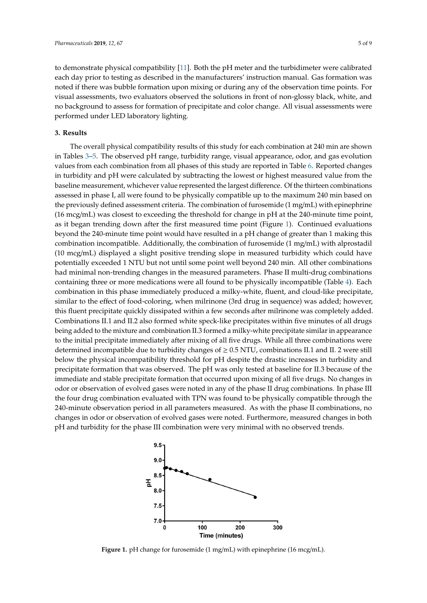to demonstrate physical compatibility [\[11\]](#page-8-8). Both the pH meter and the turbidimeter were calibrated each day prior to testing as described in the manufacturers' instruction manual. Gas formation was noted if there was bubble formation upon mixing or during any of the observation time points. For visual assessments, two evaluators observed the solutions in front of non-glossy black, white, and no background to assess for formation of precipitate and color change. All visual assessments were performed under LED laboratory lighting.

#### **3. Results**

The overall physical compatibility results of this study for each combination at 240 min are shown in Tables [3–](#page-3-0)[5.](#page-3-1) The observed pH range, turbidity range, visual appearance, odor, and gas evolution values from each combination from all phases of this study are reported in Table [6.](#page-5-0) Reported changes in turbidity and pH were calculated by subtracting the lowest or highest measured value from the baseline measurement, whichever value represented the largest difference. Of the thirteen combinations assessed in phase I, all were found to be physically compatible up to the maximum 240 min based on the previously defined assessment criteria. The combination of furosemide (1 mg/mL) with epinephrine (16 mcg/mL) was closest to exceeding the threshold for change in pH at the 240-minute time point, as it began trending down after the first measured time point (Figure [1\)](#page-4-0). Continued evaluations beyond the 240-minute time point would have resulted in a pH change of greater than 1 making this combination incompatible. Additionally, the combination of furosemide (1 mg/mL) with alprostadil (10 mcg/mL) displayed a slight positive trending slope in measured turbidity which could have potentially exceeded 1 NTU but not until some point well beyond 240 min. All other combinations had minimal non-trending changes in the measured parameters. Phase II multi-drug combinations containing three or more medications were all found to be physically incompatible (Table [4\)](#page-3-2). Each combination in this phase immediately produced a milky-white, fluent, and cloud-like precipitate, similar to the effect of food-coloring, when milrinone (3rd drug in sequence) was added; however, this fluent precipitate quickly dissipated within a few seconds after milrinone was completely added. Combinations II.1 and II.2 also formed white speck-like precipitates within five minutes of all drugs being added to the mixture and combination II.3 formed a milky-white precipitate similar in appearance to the initial precipitate immediately after mixing of all five drugs. While all three combinations were determined incompatible due to turbidity changes of  $\geq 0.5$  NTU, combinations II.1 and II. 2 were still below the physical incompatibility threshold for pH despite the drastic increases in turbidity and precipitate formation that was observed. The pH was only tested at baseline for II.3 because of the immediate and stable precipitate formation that occurred upon mixing of all five drugs. No changes in odor or observation of evolved gases were noted in any of the phase II drug combinations. In phase III the four drug combination evaluated with TPN was found to be physically compatible through the 240-minute observation period in all parameters measured. As with the phase II combinations, no changes in odor or observation of evolved gases were noted. Furthermore, measured changes in both pH and turbidity for the phase III combination were very minimal with no observed trends.<br>  $\alpha$  of four coloring, when minimore (5.4 and  $\beta$  in sequence) was a 10 november 0.011 none of 0.01 (9.93) −0.01 (9.94) of 0.01 (9.94) of 0.01 (9.94) non-**Phase II**

<span id="page-4-0"></span>

Figure 1. pH change for furosemide (1 mg/mL) with epinephrine (16 mcg/mL). Fi**gure 1.** pH change for furosemide (1 mg/mL) with epinephrine (16 mcg/mL).<br> **Figure 1.** pH change for furosemide (1 mg/mL) with epinephrine (16 mcg/mL).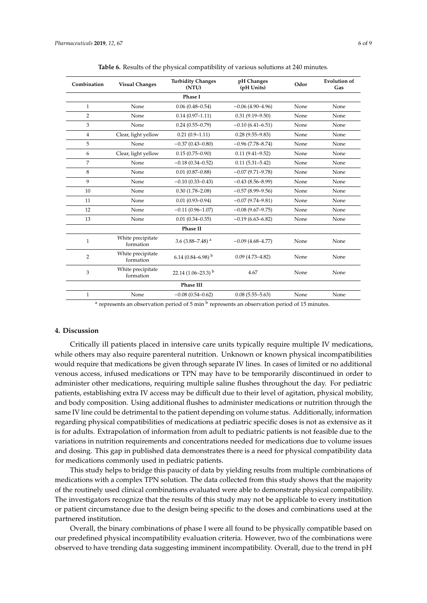<span id="page-5-0"></span>

| Combination    | <b>Visual Changes</b>          | <b>Turbidity Changes</b><br>(NTU) | pH Changes<br>(pH Units) | Odor | <b>Evolution of</b><br>Gas |
|----------------|--------------------------------|-----------------------------------|--------------------------|------|----------------------------|
|                |                                | Phase I                           |                          |      |                            |
| $\mathbf{1}$   | None                           | $0.06(0.48 - 0.54)$               | $-0.06(4.90-4.96)$       | None | None                       |
| $\overline{2}$ | None                           | $0.14(0.97 - 1.11)$               | $0.31(9.19 - 9.50)$      | None | None                       |
| 3              | None                           | $0.24(0.55 - 0.79)$               | $-0.10(6.41-6.51)$       | None | None                       |
| $\overline{4}$ | Clear, light yellow            | $0.21(0.9-1.11)$                  | $0.28(9.55 - 9.83)$      | None | None                       |
| 5              | None                           | $-0.37(0.43 - 0.80)$              | $-0.96(7.78 - 8.74)$     | None | None                       |
| 6              | Clear, light yellow            | $0.15(0.75 - 0.90)$               | $0.11(9.41 - 9.52)$      | None | None                       |
| 7              | None                           | $-0.18(0.34 - 0.52)$              | $0.11(5.31 - 5.42)$      | None | None                       |
| 8              | None                           | $0.01(0.87 - 0.88)$               | $-0.07(9.71-9.78)$       | None | None                       |
| 9              | None                           | $-0.10(0.33 - 0.43)$              | $-0.43(8.56-8.99)$       | None | None                       |
| 10             | None                           | $0.30(1.78 - 2.08)$               | $-0.57(8.99-9.56)$       | None | None                       |
| 11             | None                           | $0.01(0.93 - 0.94)$               | $-0.07(9.74 - 9.81)$     | None | None                       |
| 12             | None                           | $-0.11(0.96 - 1.07)$              | $-0.08(9.67-9.75)$       | None | None                       |
| 13             | None                           | $0.01(0.34 - 0.35)$               | $-0.19(6.63 - 6.82)$     | None | None                       |
|                |                                | Phase II                          |                          |      |                            |
| 1              | White precipitate<br>formation | 3.6 $(3.88 - 7.48)$ <sup>a</sup>  | $-0.09(4.68 - 4.77)$     | None | None                       |
| $\overline{2}$ | White precipitate<br>formation | 6.14 (0.84–6.98) $^{\rm b}$       | $0.09(4.73 - 4.82)$      | None | None                       |
| 3              | White precipitate<br>formation | 22.14 $(1.06-23.3)$ <sup>b</sup>  | 4.67                     | None | None                       |
|                |                                | Phase III                         |                          |      |                            |
| $\mathbf{1}$   | None                           | $-0.08(0.54 - 0.62)$              | $0.08(5.55 - 5.63)$      | None | None                       |

**Table 6.** Results of the physical compatibility of various solutions at 240 minutes.

a represents an observation period of 5 min <sup>b</sup> represents an observation period of 15 minutes.

### **4. Discussion**

Critically ill patients placed in intensive care units typically require multiple IV medications, while others may also require parenteral nutrition. Unknown or known physical incompatibilities would require that medications be given through separate IV lines. In cases of limited or no additional venous access, infused medications or TPN may have to be temporarily discontinued in order to administer other medications, requiring multiple saline flushes throughout the day. For pediatric patients, establishing extra IV access may be difficult due to their level of agitation, physical mobility, and body composition. Using additional flushes to administer medications or nutrition through the same IV line could be detrimental to the patient depending on volume status. Additionally, information regarding physical compatibilities of medications at pediatric specific doses is not as extensive as it is for adults. Extrapolation of information from adult to pediatric patients is not feasible due to the variations in nutrition requirements and concentrations needed for medications due to volume issues and dosing. This gap in published data demonstrates there is a need for physical compatibility data for medications commonly used in pediatric patients.

This study helps to bridge this paucity of data by yielding results from multiple combinations of medications with a complex TPN solution. The data collected from this study shows that the majority of the routinely used clinical combinations evaluated were able to demonstrate physical compatibility. The investigators recognize that the results of this study may not be applicable to every institution or patient circumstance due to the design being specific to the doses and combinations used at the partnered institution.

Overall, the binary combinations of phase I were all found to be physically compatible based on our predefined physical incompatibility evaluation criteria. However, two of the combinations were observed to have trending data suggesting imminent incompatibility. Overall, due to the trend in pH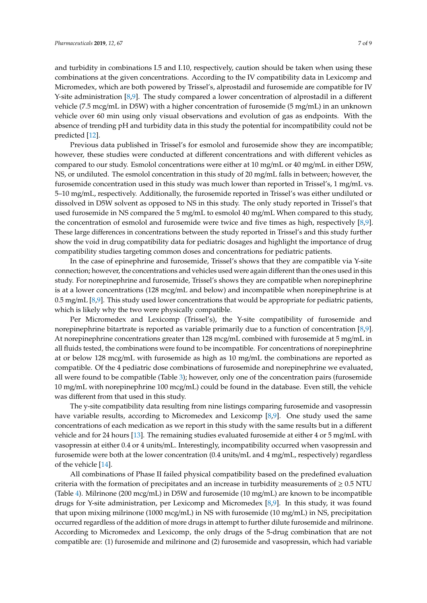and turbidity in combinations I.5 and I.10, respectively, caution should be taken when using these combinations at the given concentrations. According to the IV compatibility data in Lexicomp and Micromedex, which are both powered by Trissel's, alprostadil and furosemide are compatible for IV Y-site administration [\[8,](#page-8-5)[9\]](#page-8-6). The study compared a lower concentration of alprostadil in a different vehicle (7.5 mcg/mL in D5W) with a higher concentration of furosemide (5 mg/mL) in an unknown vehicle over 60 min using only visual observations and evolution of gas as endpoints. With the absence of trending pH and turbidity data in this study the potential for incompatibility could not be predicted [\[12\]](#page-8-9).

Previous data published in Trissel's for esmolol and furosemide show they are incompatible; however, these studies were conducted at different concentrations and with different vehicles as compared to our study. Esmolol concentrations were either at 10 mg/mL or 40 mg/mL in either D5W, NS, or undiluted. The esmolol concentration in this study of 20 mg/mL falls in between; however, the furosemide concentration used in this study was much lower than reported in Trissel's, 1 mg/mL vs. 5–10 mg/mL, respectively. Additionally, the furosemide reported in Trissel's was either undiluted or dissolved in D5W solvent as opposed to NS in this study. The only study reported in Trissel's that used furosemide in NS compared the 5 mg/mL to esmolol 40 mg/mL When compared to this study, the concentration of esmolol and furosemide were twice and five times as high, respectively [\[8,](#page-8-5)[9\]](#page-8-6). These large differences in concentrations between the study reported in Trissel's and this study further show the void in drug compatibility data for pediatric dosages and highlight the importance of drug compatibility studies targeting common doses and concentrations for pediatric patients.

In the case of epinephrine and furosemide, Trissel's shows that they are compatible via Y-site connection; however, the concentrations and vehicles used were again different than the ones used in this study. For norepinephrine and furosemide, Trissel's shows they are compatible when norepinephrine is at a lower concentrations (128 mcg/mL and below) and incompatible when norepinephrine is at 0.5 mg/mL [\[8](#page-8-5)[,9\]](#page-8-6). This study used lower concentrations that would be appropriate for pediatric patients, which is likely why the two were physically compatible.

Per Micromedex and Lexicomp (Trissel's), the Y-site compatibility of furosemide and norepinephrine bitartrate is reported as variable primarily due to a function of concentration [\[8,](#page-8-5)[9\]](#page-8-6). At norepinephrine concentrations greater than 128 mcg/mL combined with furosemide at 5 mg/mL in all fluids tested, the combinations were found to be incompatible. For concentrations of norepinephrine at or below 128 mcg/mL with furosemide as high as 10 mg/mL the combinations are reported as compatible. Of the 4 pediatric dose combinations of furosemide and norepinephrine we evaluated, all were found to be compatible (Table [3\)](#page-3-0); however, only one of the concentration pairs (furosemide 10 mg/mL with norepinephrine 100 mcg/mL) could be found in the database. Even still, the vehicle was different from that used in this study.

The y-site compatibility data resulting from nine listings comparing furosemide and vasopressin have variable results, according to Micromedex and Lexicomp [\[8](#page-8-5)[,9\]](#page-8-6). One study used the same concentrations of each medication as we report in this study with the same results but in a different vehicle and for 24 hours [\[13\]](#page-8-10). The remaining studies evaluated furosemide at either 4 or 5 mg/mL with vasopressin at either 0.4 or 4 units/mL. Interestingly, incompatibility occurred when vasopressin and furosemide were both at the lower concentration (0.4 units/mL and 4 mg/mL, respectively) regardless of the vehicle [\[14\]](#page-8-11).

All combinations of Phase II failed physical compatibility based on the predefined evaluation criteria with the formation of precipitates and an increase in turbidity measurements of  $\geq 0.5$  NTU (Table [4\)](#page-3-2). Milrinone (200 mcg/mL) in D5W and furosemide (10 mg/mL) are known to be incompatible drugs for Y-site administration, per Lexicomp and Micromedex [\[8,](#page-8-5)[9\]](#page-8-6). In this study, it was found that upon mixing milrinone (1000 mcg/mL) in NS with furosemide (10 mg/mL) in NS, precipitation occurred regardless of the addition of more drugs in attempt to further dilute furosemide and milrinone. According to Micromedex and Lexicomp, the only drugs of the 5-drug combination that are not compatible are: (1) furosemide and milrinone and (2) furosemide and vasopressin, which had variable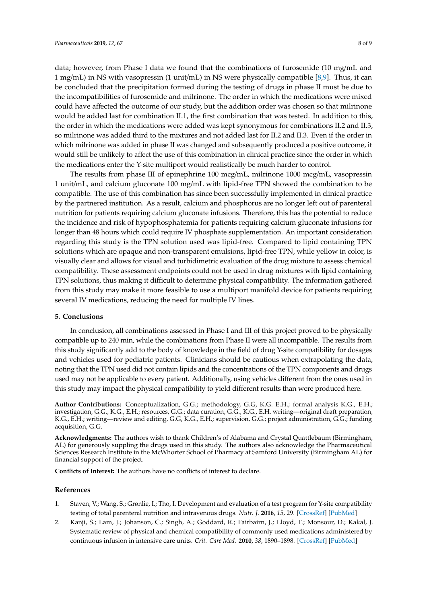data; however, from Phase I data we found that the combinations of furosemide (10 mg/mL and 1 mg/mL) in NS with vasopressin (1 unit/mL) in NS were physically compatible [\[8,](#page-8-5)[9\]](#page-8-6). Thus, it can be concluded that the precipitation formed during the testing of drugs in phase II must be due to the incompatibilities of furosemide and milrinone. The order in which the medications were mixed could have affected the outcome of our study, but the addition order was chosen so that milrinone would be added last for combination II.1, the first combination that was tested. In addition to this, the order in which the medications were added was kept synonymous for combinations II.2 and II.3, so milrinone was added third to the mixtures and not added last for II.2 and II.3. Even if the order in which milrinone was added in phase II was changed and subsequently produced a positive outcome, it would still be unlikely to affect the use of this combination in clinical practice since the order in which the medications enter the Y-site multiport would realistically be much harder to control.

The results from phase III of epinephrine 100 mcg/mL, milrinone 1000 mcg/mL, vasopressin 1 unit/mL, and calcium gluconate 100 mg/mL with lipid-free TPN showed the combination to be compatible. The use of this combination has since been successfully implemented in clinical practice by the partnered institution. As a result, calcium and phosphorus are no longer left out of parenteral nutrition for patients requiring calcium gluconate infusions. Therefore, this has the potential to reduce the incidence and risk of hypophosphatemia for patients requiring calcium gluconate infusions for longer than 48 hours which could require IV phosphate supplementation. An important consideration regarding this study is the TPN solution used was lipid-free. Compared to lipid containing TPN solutions which are opaque and non-transparent emulsions, lipid-free TPN, while yellow in color, is visually clear and allows for visual and turbidimetric evaluation of the drug mixture to assess chemical compatibility. These assessment endpoints could not be used in drug mixtures with lipid containing TPN solutions, thus making it difficult to determine physical compatibility. The information gathered from this study may make it more feasible to use a multiport manifold device for patients requiring several IV medications, reducing the need for multiple IV lines.

#### **5. Conclusions**

In conclusion, all combinations assessed in Phase I and III of this project proved to be physically compatible up to 240 min, while the combinations from Phase II were all incompatible. The results from this study significantly add to the body of knowledge in the field of drug Y-site compatibility for dosages and vehicles used for pediatric patients. Clinicians should be cautious when extrapolating the data, noting that the TPN used did not contain lipids and the concentrations of the TPN components and drugs used may not be applicable to every patient. Additionally, using vehicles different from the ones used in this study may impact the physical compatibility to yield different results than were produced here.

**Author Contributions:** Conceptualization, G.G.; methodology, G.G, K.G. E.H.; formal analysis K.G., E.H.; investigation, G.G., K.G., E.H.; resources, G.G.; data curation, G.G., K.G., E.H. writing—original draft preparation, K.G., E.H.; writing—review and editing, G.G, K.G., E.H.; supervision, G.G.; project administration, G.G.; funding acquisition, G.G.

**Acknowledgments:** The authors wish to thank Children's of Alabama and Crystal Quattlebaum (Birmingham, AL) for generously suppling the drugs used in this study. The authors also acknowledge the Pharmaceutical Sciences Research Institute in the McWhorter School of Pharmacy at Samford University (Birmingham AL) for financial support of the project.

**Conflicts of Interest:** The authors have no conflicts of interest to declare.

#### **References**

- <span id="page-7-0"></span>1. Staven, V.; Wang, S.; Grønlie, I.; Tho, I. Development and evaluation of a test program for Y-site compatibility testing of total parenteral nutrition and intravenous drugs. *Nutr. J.* **2016**, *15*, 29. [\[CrossRef\]](http://dx.doi.org/10.1186/s12937-016-0149-x) [\[PubMed\]](http://www.ncbi.nlm.nih.gov/pubmed/27000057)
- <span id="page-7-1"></span>2. Kanji, S.; Lam, J.; Johanson, C.; Singh, A.; Goddard, R.; Fairbairn, J.; Lloyd, T.; Monsour, D.; Kakal, J. Systematic review of physical and chemical compatibility of commonly used medications administered by continuous infusion in intensive care units. *Crit. Care Med.* **2010**, *38*, 1890–1898. [\[CrossRef\]](http://dx.doi.org/10.1097/CCM.0b013e3181e8adcc) [\[PubMed\]](http://www.ncbi.nlm.nih.gov/pubmed/20562698)